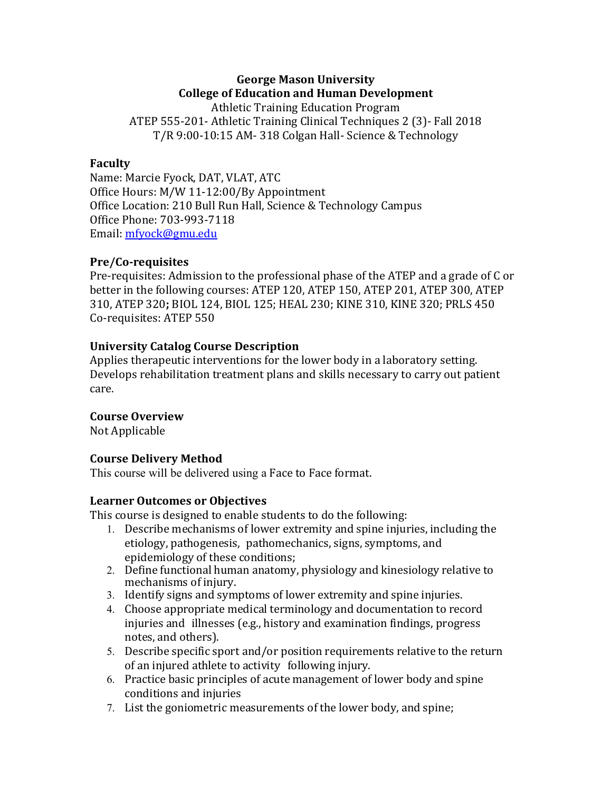# **George Mason University College of Education and Human Development**

Athletic Training Education Program ATEP 555-201- Athletic Training Clinical Techniques 2 (3)- Fall 2018 T/R 9:00-10:15 AM- 318 Colgan Hall- Science & Technology

#### **Faculty**

Name: Marcie Fyock, DAT, VLAT, ATC Office Hours: M/W 11-12:00/By Appointment Office Location: 210 Bull Run Hall, Science & Technology Campus Office Phone: 703-993-7118 Email: mfyock@gmu.edu

#### **Pre/Co-requisites**

Pre-requisites: Admission to the professional phase of the ATEP and a grade of C or better in the following courses: ATEP 120, ATEP 150, ATEP 201, ATEP 300, ATEP 310, ATEP 320; BIOL 124, BIOL 125; HEAL 230; KINE 310, KINE 320; PRLS 450 Co-requisites: ATEP 550

## **University Catalog Course Description**

Applies therapeutic interventions for the lower body in a laboratory setting. Develops rehabilitation treatment plans and skills necessary to carry out patient care.

#### **Course Overview**

Not Applicable

## **Course Delivery Method**

This course will be delivered using a Face to Face format.

#### **Learner Outcomes or Objectives**

This course is designed to enable students to do the following:

- 1. Describe mechanisms of lower extremity and spine injuries, including the etiology, pathogenesis, pathomechanics, signs, symptoms, and epidemiology of these conditions;
- 2. Define functional human anatomy, physiology and kinesiology relative to mechanisms of injury.
- 3. Identify signs and symptoms of lower extremity and spine injuries.
- 4. Choose appropriate medical terminology and documentation to record injuries and illnesses (e.g., history and examination findings, progress notes, and others).
- 5. Describe specific sport and/or position requirements relative to the return of an injured athlete to activity following injury.
- 6. Practice basic principles of acute management of lower body and spine conditions and injuries
- 7. List the goniometric measurements of the lower body, and spine;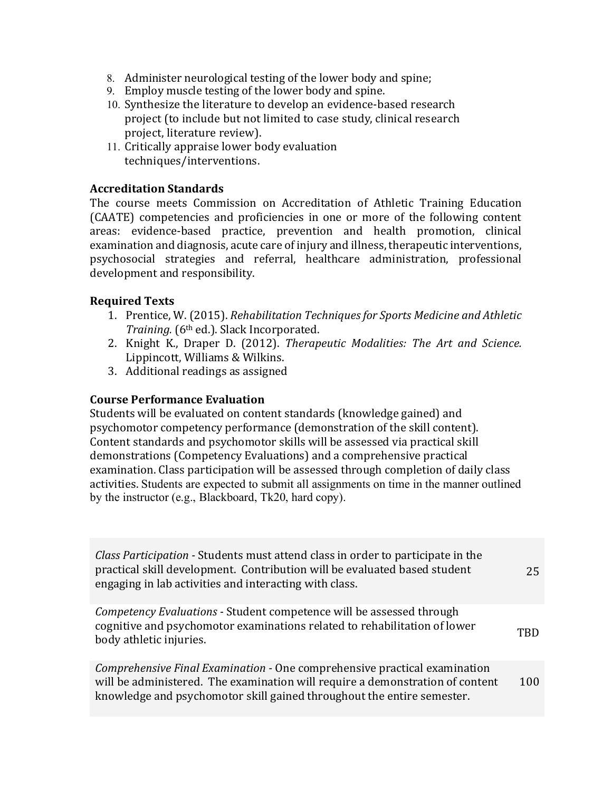- 8. Administer neurological testing of the lower body and spine;
- 9. Employ muscle testing of the lower body and spine.
- 10. Synthesize the literature to develop an evidence-based research project (to include but not limited to case study, clinical research project, literature review).
- 11. Critically appraise lower body evaluation techniques/interventions.

#### **Accreditation Standards**

The course meets Commission on Accreditation of Athletic Training Education (CAATE) competencies and proficiencies in one or more of the following content areas: evidence-based practice, prevention and health promotion, clinical examination and diagnosis, acute care of injury and illness, therapeutic interventions, psychosocial strategies and referral, healthcare administration, professional development and responsibility.

#### **Required Texts**

- 1. Prentice, W. (2015). *Rehabilitation Techniques for Sports Medicine and Athletic Training.* (6<sup>th</sup> ed.). Slack Incorporated.
- 2. Knight K., Draper D. (2012). *Therapeutic Modalities: The Art and Science.* Lippincott, Williams & Wilkins.
- 3. Additional readings as assigned

#### **Course Performance Evaluation**

Students will be evaluated on content standards (knowledge gained) and psychomotor competency performance (demonstration of the skill content). Content standards and psychomotor skills will be assessed via practical skill demonstrations (Competency Evaluations) and a comprehensive practical examination. Class participation will be assessed through completion of daily class activities. Students are expected to submit all assignments on time in the manner outlined by the instructor (e.g., Blackboard, Tk20, hard copy).

| <i>Class Participation</i> - Students must attend class in order to participate in the<br>practical skill development. Contribution will be evaluated based student<br>engaging in lab activities and interacting with class.        | 25  |
|--------------------------------------------------------------------------------------------------------------------------------------------------------------------------------------------------------------------------------------|-----|
| Competency Evaluations - Student competence will be assessed through<br>cognitive and psychomotor examinations related to rehabilitation of lower<br>body athletic injuries.                                                         | TRD |
| Comprehensive Final Examination - One comprehensive practical examination<br>will be administered. The examination will require a demonstration of content<br>knowledge and psychomotor skill gained throughout the entire semester. | 100 |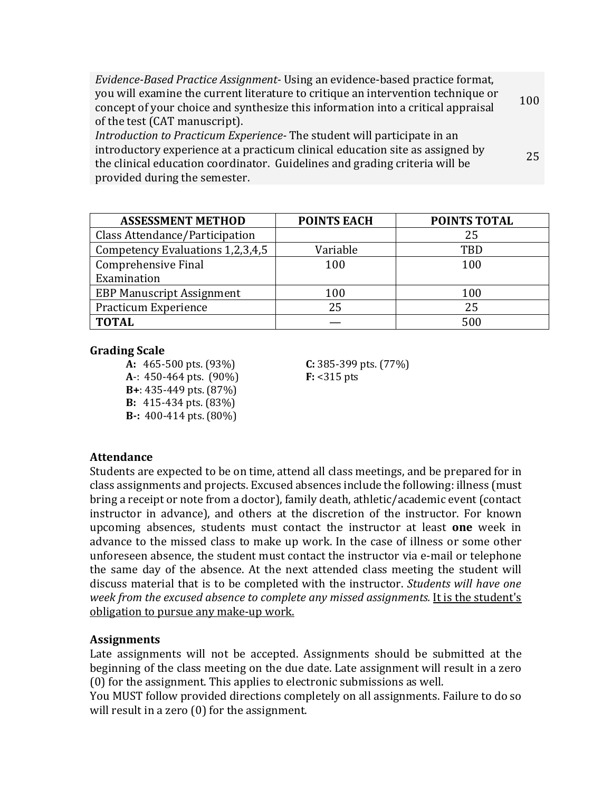| Evidence-Based Practice Assignment - Using an evidence-based practice format,    |     |
|----------------------------------------------------------------------------------|-----|
| you will examine the current literature to critique an intervention technique or | 100 |
| concept of your choice and synthesize this information into a critical appraisal |     |
| of the test (CAT manuscript).                                                    |     |
| Introduction to Practicum Experience-The student will participate in an          |     |
| introductory experience at a practicum clinical education site as assigned by    | 25  |
| the clinical education coordinator. Guidelines and grading criteria will be      |     |

provided during the semester.

| <b>ASSESSMENT METHOD</b>         | <b>POINTS EACH</b> | <b>POINTS TOTAL</b> |
|----------------------------------|--------------------|---------------------|
| Class Attendance/Participation   |                    | 25                  |
| Competency Evaluations 1,2,3,4,5 | Variable           | TBD                 |
| Comprehensive Final              | 100                | 100                 |
| Examination                      |                    |                     |
| <b>EBP Manuscript Assignment</b> | 100                | 100                 |
| Practicum Experience             | 25                 | 25                  |
| <b>TOTAL</b>                     |                    | 500                 |

#### **Grading Scale**

**A:** 465-500 pts. (93%) **C:** 385-399 pts. (77%) **A**-: 450-464 pts. (90%) **F:** <315 pts **B**+: 435-449 pts. (87%) **B:** 415-434 pts. (83%) **B**-: 400-414 pts. (80%)

## **Attendance**

Students are expected to be on time, attend all class meetings, and be prepared for in class assignments and projects. Excused absences include the following: illness (must bring a receipt or note from a doctor), family death, athletic/academic event (contact instructor in advance), and others at the discretion of the instructor. For known upcoming absences, students must contact the instructor at least **one** week in advance to the missed class to make up work. In the case of illness or some other unforeseen absence, the student must contact the instructor via e-mail or telephone the same day of the absence. At the next attended class meeting the student will discuss material that is to be completed with the instructor. *Students will have one week from the excused absence to complete any missed assignments.* It is the student's obligation to pursue any make-up work.

## **Assignments**

Late assignments will not be accepted. Assignments should be submitted at the beginning of the class meeting on the due date. Late assignment will result in a zero  $(0)$  for the assignment. This applies to electronic submissions as well.

You MUST follow provided directions completely on all assignments. Failure to do so will result in a zero  $(0)$  for the assignment.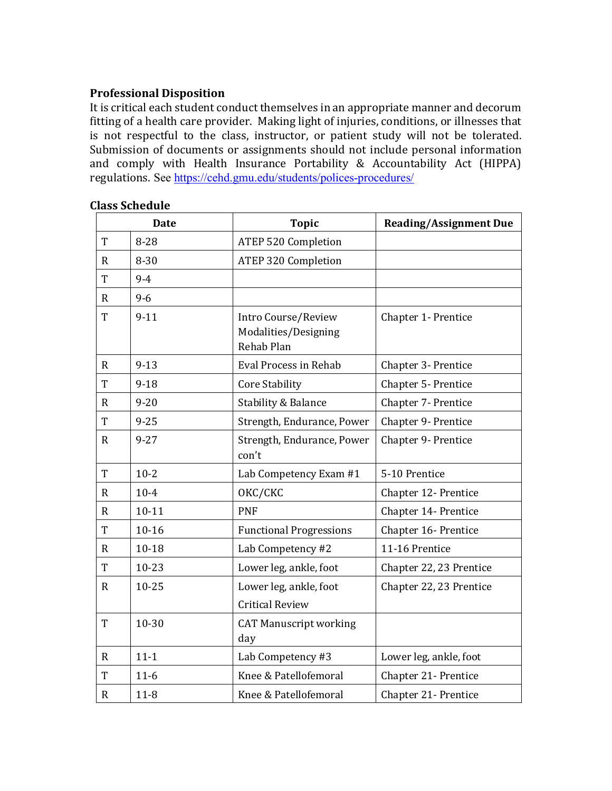#### **Professional Disposition**

It is critical each student conduct themselves in an appropriate manner and decorum fitting of a health care provider. Making light of injuries, conditions, or illnesses that is not respectful to the class, instructor, or patient study will not be tolerated. Submission of documents or assignments should not include personal information and comply with Health Insurance Portability & Accountability Act (HIPPA) regulations. See https://cehd.gmu.edu/students/polices-procedures/

|              | <b>Date</b> | <b>Topic</b>                                              | <b>Reading/Assignment Due</b> |
|--------------|-------------|-----------------------------------------------------------|-------------------------------|
| T            | $8 - 28$    | <b>ATEP 520 Completion</b>                                |                               |
| R            | $8 - 30$    | <b>ATEP 320 Completion</b>                                |                               |
| T            | $9 - 4$     |                                                           |                               |
| $\mathbf R$  | $9 - 6$     |                                                           |                               |
| T            | $9-11$      | Intro Course/Review<br>Modalities/Designing<br>Rehab Plan | Chapter 1- Prentice           |
| R            | $9 - 13$    | <b>Eval Process in Rehab</b>                              | Chapter 3- Prentice           |
| T            | $9 - 18$    | <b>Core Stability</b>                                     | Chapter 5- Prentice           |
| R.           | $9 - 20$    | Stability & Balance                                       | Chapter 7- Prentice           |
| T            | $9 - 25$    | Strength, Endurance, Power                                | Chapter 9- Prentice           |
| $\mathbf R$  | $9 - 27$    | Strength, Endurance, Power<br>con't                       | Chapter 9- Prentice           |
| $\rm T$      | $10-2$      | Lab Competency Exam #1                                    | 5-10 Prentice                 |
| $\mathbf{R}$ | $10 - 4$    | OKC/CKC                                                   | Chapter 12- Prentice          |
| $\mathbf{R}$ | $10 - 11$   | <b>PNF</b>                                                | Chapter 14- Prentice          |
| T            | $10 - 16$   | <b>Functional Progressions</b>                            | Chapter 16- Prentice          |
| $\mathbf R$  | 10-18       | Lab Competency #2                                         | 11-16 Prentice                |
| T            | 10-23       | Lower leg, ankle, foot                                    | Chapter 22, 23 Prentice       |
| $\mathbf{R}$ | $10 - 25$   | Lower leg, ankle, foot<br><b>Critical Review</b>          | Chapter 22, 23 Prentice       |
| T            | 10-30       | <b>CAT Manuscript working</b><br>day                      |                               |
| $\mathbf R$  | $11 - 1$    | Lab Competency #3                                         | Lower leg, ankle, foot        |
| T            | $11-6$      | Knee & Patellofemoral                                     | Chapter 21- Prentice          |
| $\mathbf R$  | $11 - 8$    | Knee & Patellofemoral                                     | Chapter 21- Prentice          |

#### **Class Schedule**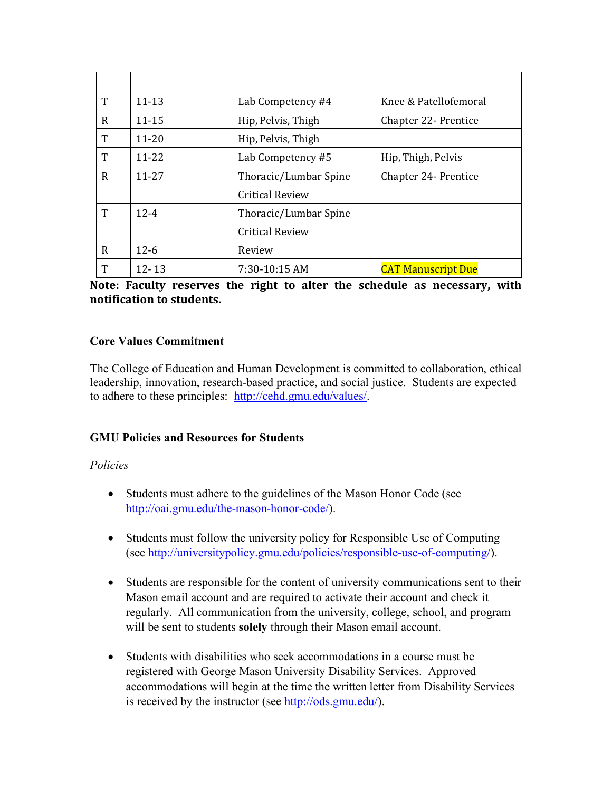| T | $11 - 13$ | Lab Competency #4      | Knee & Patellofemoral     |
|---|-----------|------------------------|---------------------------|
| R | $11 - 15$ | Hip, Pelvis, Thigh     | Chapter 22 - Prentice     |
| T | $11 - 20$ | Hip, Pelvis, Thigh     |                           |
| T | $11 - 22$ | Lab Competency #5      | Hip, Thigh, Pelvis        |
| R | $11 - 27$ | Thoracic/Lumbar Spine  | Chapter 24 - Prentice     |
|   |           | <b>Critical Review</b> |                           |
| T | $12 - 4$  | Thoracic/Lumbar Spine  |                           |
|   |           | <b>Critical Review</b> |                           |
| R | $12 - 6$  | Review                 |                           |
| T | $12 - 13$ | 7:30-10:15 AM          | <b>CAT Manuscript Due</b> |

Note: Faculty reserves the right to alter the schedule as necessary, with **notification to students.** 

# **Core Values Commitment**

The College of Education and Human Development is committed to collaboration, ethical leadership, innovation, research-based practice, and social justice. Students are expected to adhere to these principles: http://cehd.gmu.edu/values/.

# **GMU Policies and Resources for Students**

## *Policies*

- Students must adhere to the guidelines of the Mason Honor Code (see http://oai.gmu.edu/the-mason-honor-code/).
- Students must follow the university policy for Responsible Use of Computing (see http://universitypolicy.gmu.edu/policies/responsible-use-of-computing/).
- Students are responsible for the content of university communications sent to their Mason email account and are required to activate their account and check it regularly. All communication from the university, college, school, and program will be sent to students **solely** through their Mason email account.
- Students with disabilities who seek accommodations in a course must be registered with George Mason University Disability Services. Approved accommodations will begin at the time the written letter from Disability Services is received by the instructor (see http://ods.gmu.edu/).